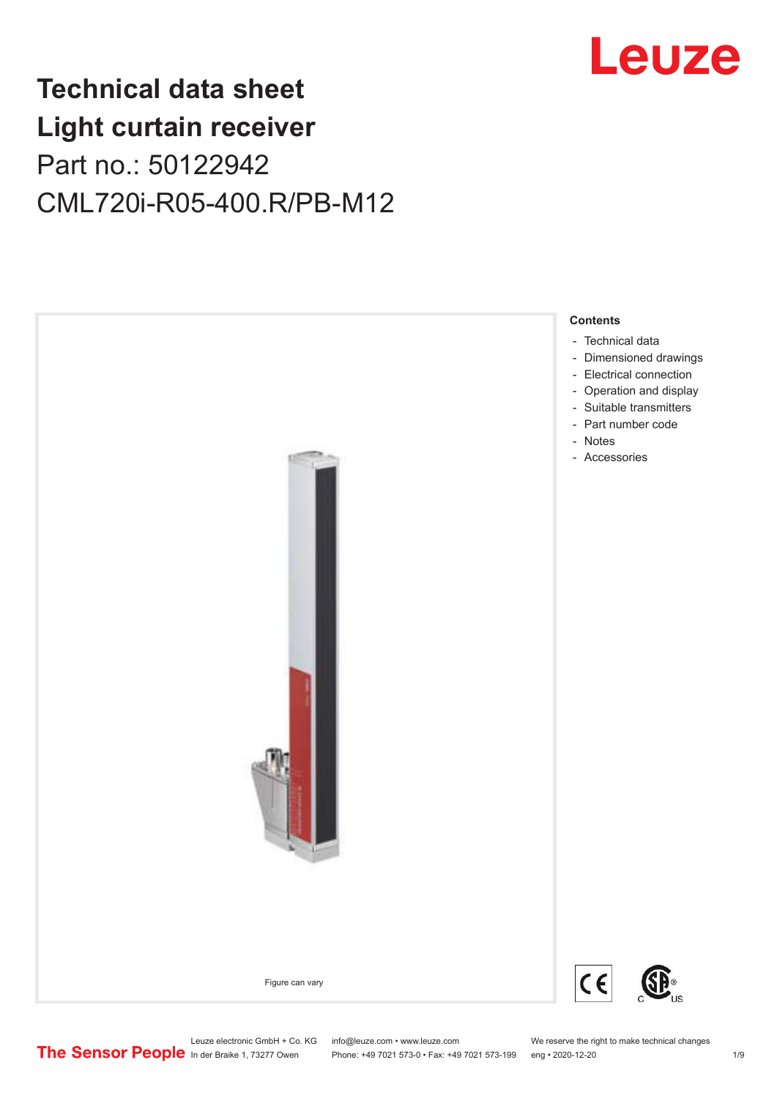## Leuze

## **Technical data sheet Light curtain receiver** Part no.: 50122942 CML720i-R05-400.R/PB-M12



Leuze electronic GmbH + Co. KG info@leuze.com • www.leuze.com We reserve the right to make technical changes<br>
The Sensor People in der Braike 1, 73277 Owen Phone: +49 7021 573-0 • Fax: +49 7021 573-199 eng • 2020-12-20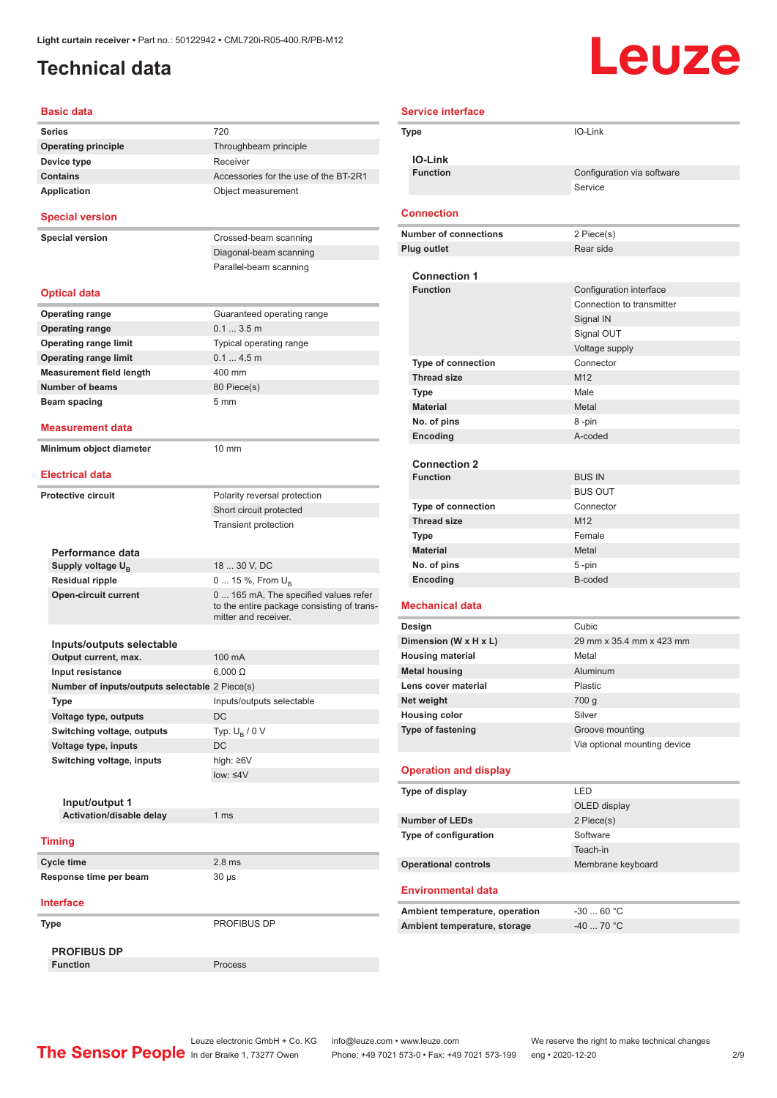## <span id="page-1-0"></span>**Technical data**

# Leuze

| <b>Basic data</b>                                 |                                                                    |
|---------------------------------------------------|--------------------------------------------------------------------|
| <b>Series</b>                                     | 720                                                                |
| <b>Operating principle</b>                        | Throughbeam principle                                              |
| Device type                                       | Receiver                                                           |
| <b>Contains</b>                                   | Accessories for the use of the BT-2R1                              |
| <b>Application</b>                                | Object measurement                                                 |
| <b>Special version</b>                            |                                                                    |
| <b>Special version</b>                            | Crossed-beam scanning                                              |
|                                                   | Diagonal-beam scanning                                             |
|                                                   | Parallel-beam scanning                                             |
| <b>Optical data</b>                               |                                                                    |
| <b>Operating range</b>                            | Guaranteed operating range                                         |
| <b>Operating range</b>                            | 0.13.5m                                                            |
| <b>Operating range limit</b>                      | Typical operating range                                            |
| <b>Operating range limit</b>                      | 0.14.5m                                                            |
| <b>Measurement field length</b>                   | 400 mm                                                             |
| <b>Number of beams</b>                            | 80 Piece(s)                                                        |
| Beam spacing                                      | 5 <sub>mm</sub>                                                    |
| <b>Measurement data</b>                           |                                                                    |
| Minimum object diameter                           | $10 \text{ mm}$                                                    |
| <b>Electrical data</b>                            |                                                                    |
|                                                   |                                                                    |
| <b>Protective circuit</b>                         | Polarity reversal protection                                       |
|                                                   | Short circuit protected                                            |
|                                                   | <b>Transient protection</b>                                        |
|                                                   |                                                                    |
| Performance data<br>Supply voltage U <sub>B</sub> | 18  30 V, DC                                                       |
| <b>Residual ripple</b>                            | 0  15 %, From $U_{\rm B}$                                          |
| <b>Open-circuit current</b>                       | 0  165 mA, The specified values refer                              |
|                                                   | to the entire package consisting of trans-<br>mitter and receiver. |
|                                                   |                                                                    |
| Inputs/outputs selectable                         |                                                                    |
| Output current, max.                              | 100 mA                                                             |
| Input resistance                                  | $6.000\ \Omega$                                                    |
| Number of inputs/outputs selectable 2 Piece(s)    |                                                                    |
| Type                                              | Inputs/outputs selectable                                          |
| Voltage type, outputs                             | DC                                                                 |
| Switching voltage, outputs                        | Typ. $U_R / 0 V$                                                   |
| Voltage type, inputs                              | <b>DC</b>                                                          |
| Switching voltage, inputs                         | high: $\geq 6V$                                                    |
|                                                   | $low: 4V$                                                          |
|                                                   |                                                                    |
| Input/output 1                                    |                                                                    |
| Activation/disable delay                          | 1 <sub>ms</sub>                                                    |
| <b>Timing</b>                                     |                                                                    |
| <b>Cycle time</b>                                 | 2.8 <sub>ms</sub>                                                  |
| Response time per beam                            | $30 \mu s$                                                         |
|                                                   |                                                                    |
| <b>Interface</b>                                  |                                                                    |
| Type                                              | PROFIBUS DP                                                        |
| <b>PROFIBUS DP</b>                                |                                                                    |
| <b>Function</b>                                   | Process                                                            |

| <b>Service interface</b>                         |                              |
|--------------------------------------------------|------------------------------|
| Type                                             | IO-Link                      |
| <b>IO-Link</b>                                   |                              |
| <b>Function</b>                                  | Configuration via software   |
|                                                  | Service                      |
|                                                  |                              |
| <b>Connection</b>                                |                              |
| <b>Number of connections</b>                     | 2 Piece(s)                   |
| Plug outlet                                      | Rear side                    |
| <b>Connection 1</b>                              |                              |
| <b>Function</b>                                  | Configuration interface      |
|                                                  | Connection to transmitter    |
|                                                  | Signal IN                    |
|                                                  | Signal OUT                   |
|                                                  | Voltage supply               |
| <b>Type of connection</b>                        | Connector                    |
| <b>Thread size</b>                               | M <sub>12</sub>              |
| <b>Type</b>                                      | Male                         |
| <b>Material</b>                                  | Metal                        |
|                                                  |                              |
| No. of pins                                      | 8-pin<br>A-coded             |
| Encoding                                         |                              |
| <b>Connection 2</b>                              |                              |
| <b>Function</b>                                  | <b>BUS IN</b>                |
|                                                  | <b>BUS OUT</b>               |
| Type of connection                               | Connector                    |
| <b>Thread size</b>                               | M <sub>12</sub>              |
| <b>Type</b>                                      | Female                       |
| <b>Material</b>                                  | Metal                        |
| No. of pins                                      | 5-pin                        |
| Encoding                                         | B-coded                      |
| <b>Mechanical data</b>                           |                              |
|                                                  | Cubic                        |
| Design                                           | 29 mm x 35.4 mm x 423 mm     |
| Dimension (W x H x L)<br><b>Housing material</b> | Metal                        |
| <b>Metal housing</b>                             | Aluminum                     |
| Lens cover material                              | Plastic                      |
| Net weight                                       | 700 g                        |
| <b>Housing color</b>                             | Silver                       |
| Type of fastening                                | Groove mounting              |
|                                                  | Via optional mounting device |
|                                                  |                              |
| <b>Operation and display</b>                     |                              |
| Type of display                                  | LED                          |
|                                                  | OLED display                 |
| <b>Number of LEDs</b>                            | 2 Piece(s)                   |
| Type of configuration                            | Software                     |
|                                                  | Teach-in                     |
| <b>Operational controls</b>                      | Membrane keyboard            |
| <b>Environmental data</b>                        |                              |
|                                                  |                              |
| Ambient temperature, operation                   | $-3060 °C$                   |
| Ambient temperature, storage                     | $-40$ 70 °C                  |
|                                                  |                              |

Leuze electronic GmbH + Co. KG info@leuze.com • www.leuze.com We reserve the right to make technical changes ln der Braike 1, 73277 Owen Phone: +49 7021 573-0 • Fax: +49 7021 573-199 eng • 2020-12-20 2/9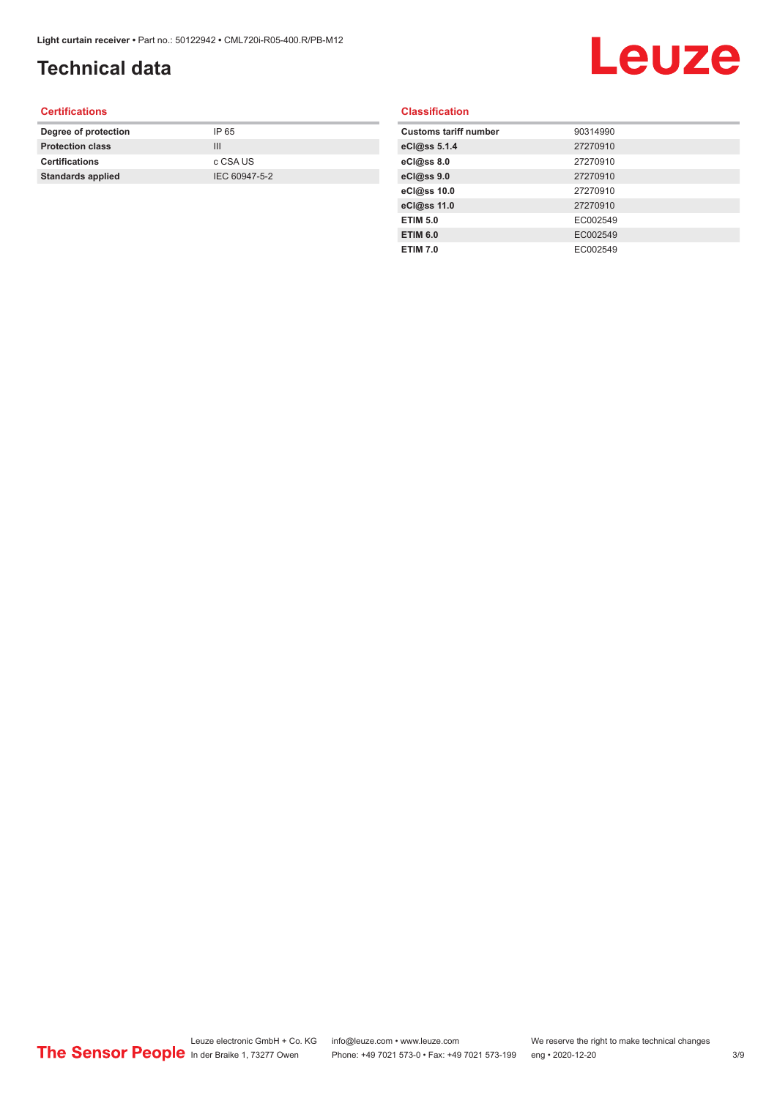## **Technical data**

# Leuze

#### **Certifications**

| Degree of protection     | IP 65         |
|--------------------------|---------------|
| <b>Protection class</b>  | Ш             |
| <b>Certifications</b>    | c CSA US      |
| <b>Standards applied</b> | IEC 60947-5-2 |
|                          |               |

#### **Classification**

| <b>Customs tariff number</b> | 90314990 |
|------------------------------|----------|
| eCl@ss 5.1.4                 | 27270910 |
| eCl@ss 8.0                   | 27270910 |
| eCl@ss 9.0                   | 27270910 |
| eCl@ss 10.0                  | 27270910 |
| eCl@ss 11.0                  | 27270910 |
| <b>ETIM 5.0</b>              | EC002549 |
| <b>ETIM 6.0</b>              | EC002549 |
| <b>ETIM 7.0</b>              | EC002549 |
|                              |          |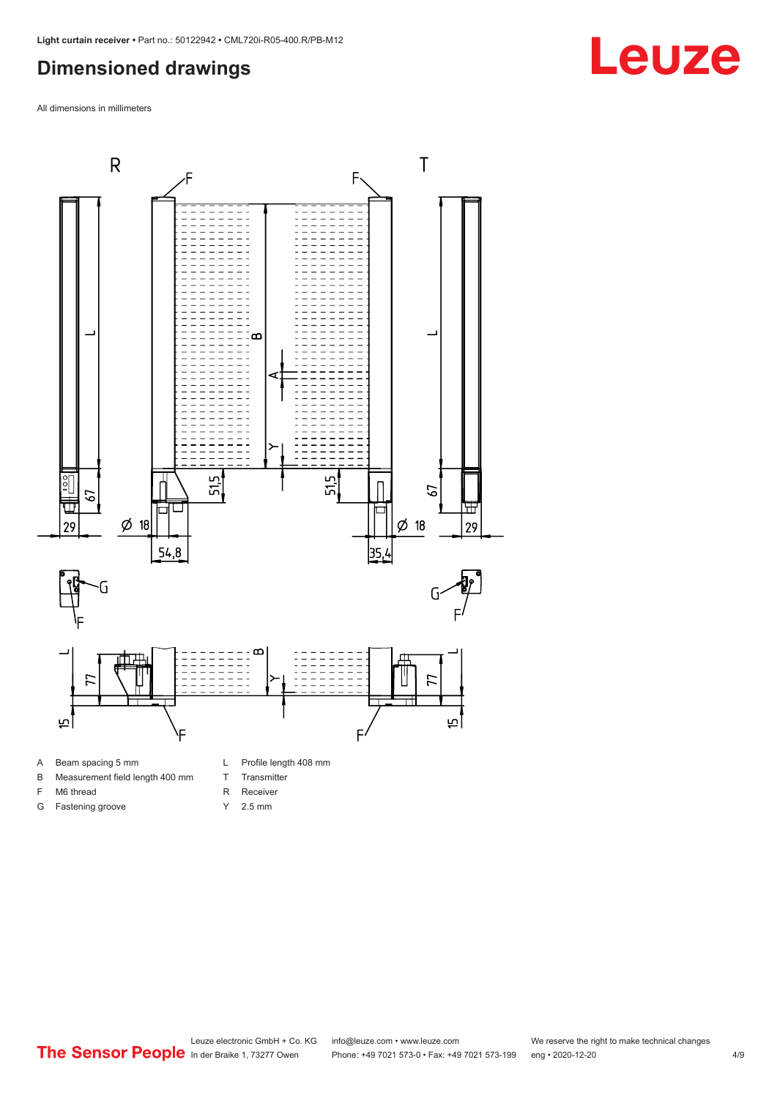#### <span id="page-3-0"></span>**Dimensioned drawings**

All dimensions in millimeters





F M6 thread G Fastening groove

- T Transmitter
- R Receiver
- Y 2.5 mm
- 

Leuze electronic GmbH + Co. KG info@leuze.com • www.leuze.com We reserve the right to make technical changes<br>
The Sensor People in der Braike 1, 73277 Owen Phone: +49 7021 573-0 • Fax: +49 7021 573-199 eng • 2020-12-20 Phone: +49 7021 573-0 • Fax: +49 7021 573-199 eng • 2020-12-20 4/9

## **Leuze**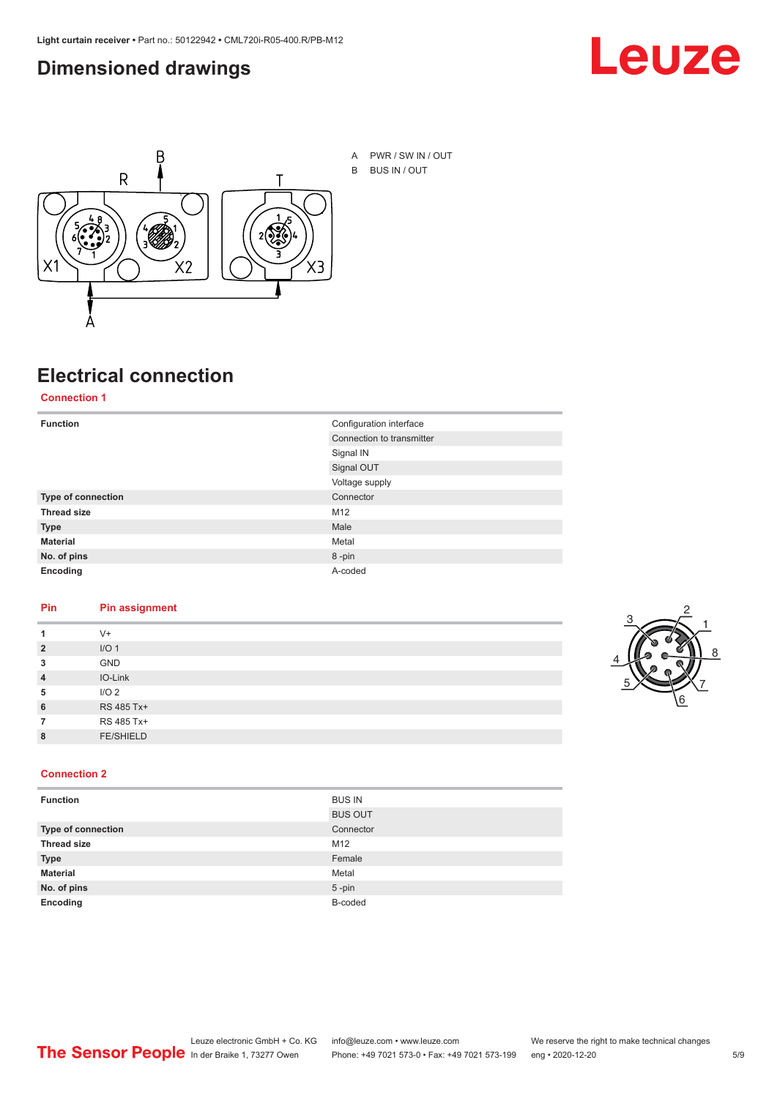#### <span id="page-4-0"></span>**Dimensioned drawings**





### **Electrical connection**

**Connection 1**

| <b>Function</b>           | Configuration interface   |  |
|---------------------------|---------------------------|--|
|                           | Connection to transmitter |  |
|                           | Signal IN                 |  |
|                           | Signal OUT                |  |
|                           | Voltage supply            |  |
| <b>Type of connection</b> | Connector                 |  |
| <b>Thread size</b>        | M12                       |  |
| <b>Type</b>               | Male                      |  |
| <b>Material</b>           | Metal                     |  |
| No. of pins               | 8-pin                     |  |
| Encoding                  | A-coded                   |  |

#### **Pin Pin assignment**

| 1              | $V +$            |  |  |
|----------------|------------------|--|--|
| $\overline{2}$ | I/O <sub>1</sub> |  |  |
| 3              | <b>GND</b>       |  |  |
| $\overline{4}$ | IO-Link          |  |  |
| 5              | I/O <sub>2</sub> |  |  |
| 6              | RS 485 Tx+       |  |  |
| 7              | RS 485 Tx+       |  |  |
| 8              | <b>FE/SHIELD</b> |  |  |
|                |                  |  |  |



#### **Connection 2**

| <b>Function</b>    | <b>BUS IN</b>  |
|--------------------|----------------|
|                    | <b>BUS OUT</b> |
| Type of connection | Connector      |
| <b>Thread size</b> | M12            |
| <b>Type</b>        | Female         |
| <b>Material</b>    | Metal          |
| No. of pins        | $5 - pin$      |
| Encoding           | B-coded        |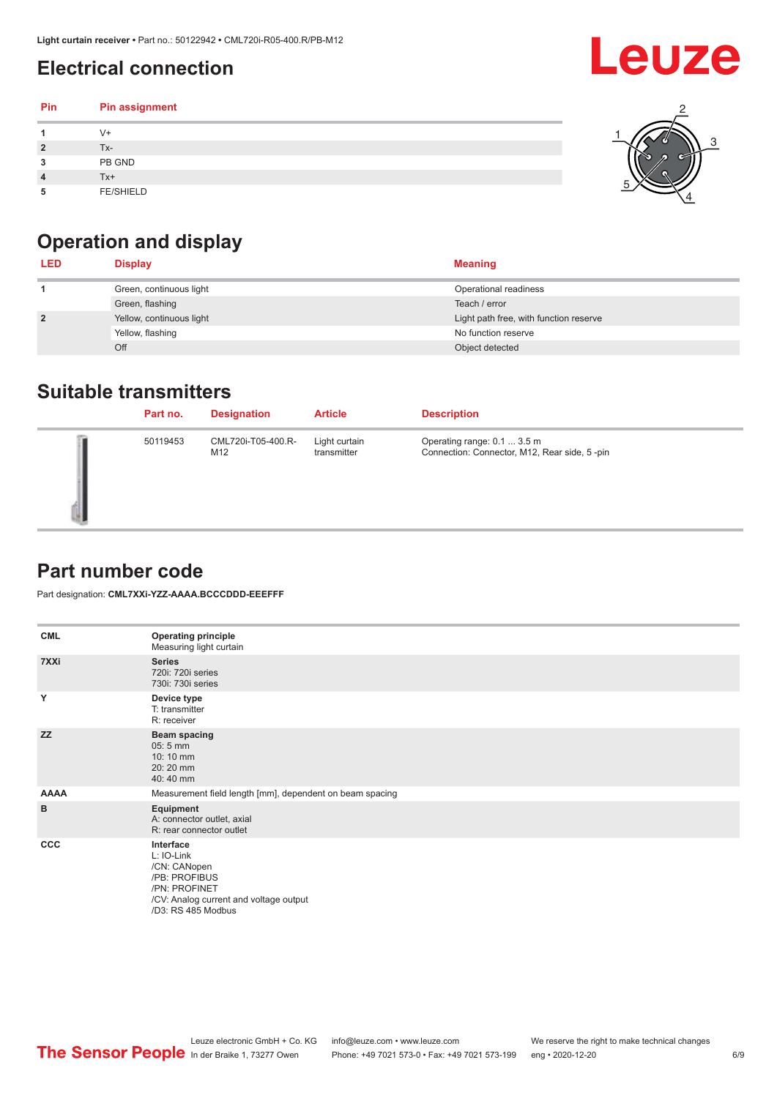## <span id="page-5-0"></span>**Electrical connection**

#### **Pin Pin assignment 1** V+ **2** Tx-**3** PB GND **4** Tx+ **5** FE/SHIELD 3 2 1 5 4



| <b>LED</b>     | <b>Display</b>           | <b>Meaning</b>                         |
|----------------|--------------------------|----------------------------------------|
|                | Green, continuous light  | Operational readiness                  |
|                | Green, flashing          | Teach / error                          |
| $\overline{2}$ | Yellow, continuous light | Light path free, with function reserve |
|                | Yellow, flashing         | No function reserve                    |
|                | Off                      | Object detected                        |

#### **Suitable transmitters**

| Part no. | <b>Designation</b>        | <b>Article</b>               | <b>Description</b>                                                          |
|----------|---------------------------|------------------------------|-----------------------------------------------------------------------------|
| 50119453 | CML720i-T05-400.R-<br>M12 | Light curtain<br>transmitter | Operating range: 0.1  3.5 m<br>Connection: Connector, M12, Rear side, 5-pin |

#### **Part number code**

Part designation: **CML7XXi-YZZ-AAAA.BCCCDDD-EEEFFF**

| <b>CML</b>  | <b>Operating principle</b><br>Measuring light curtain                                                                                     |
|-------------|-------------------------------------------------------------------------------------------------------------------------------------------|
| 7XXi        | <b>Series</b><br>720i: 720i series<br>730i: 730i series                                                                                   |
| Y           | Device type<br>T: transmitter<br>R: receiver                                                                                              |
| <b>ZZ</b>   | <b>Beam spacing</b><br>$05:5$ mm<br>10:10 mm<br>20:20 mm<br>40:40 mm                                                                      |
| <b>AAAA</b> | Measurement field length [mm], dependent on beam spacing                                                                                  |
| B           | Equipment<br>A: connector outlet, axial<br>R: rear connector outlet                                                                       |
| <b>CCC</b>  | Interface<br>L: IO-Link<br>/CN: CANopen<br>/PB: PROFIBUS<br>/PN: PROFINET<br>/CV: Analog current and voltage output<br>/D3: RS 485 Modbus |

Leuze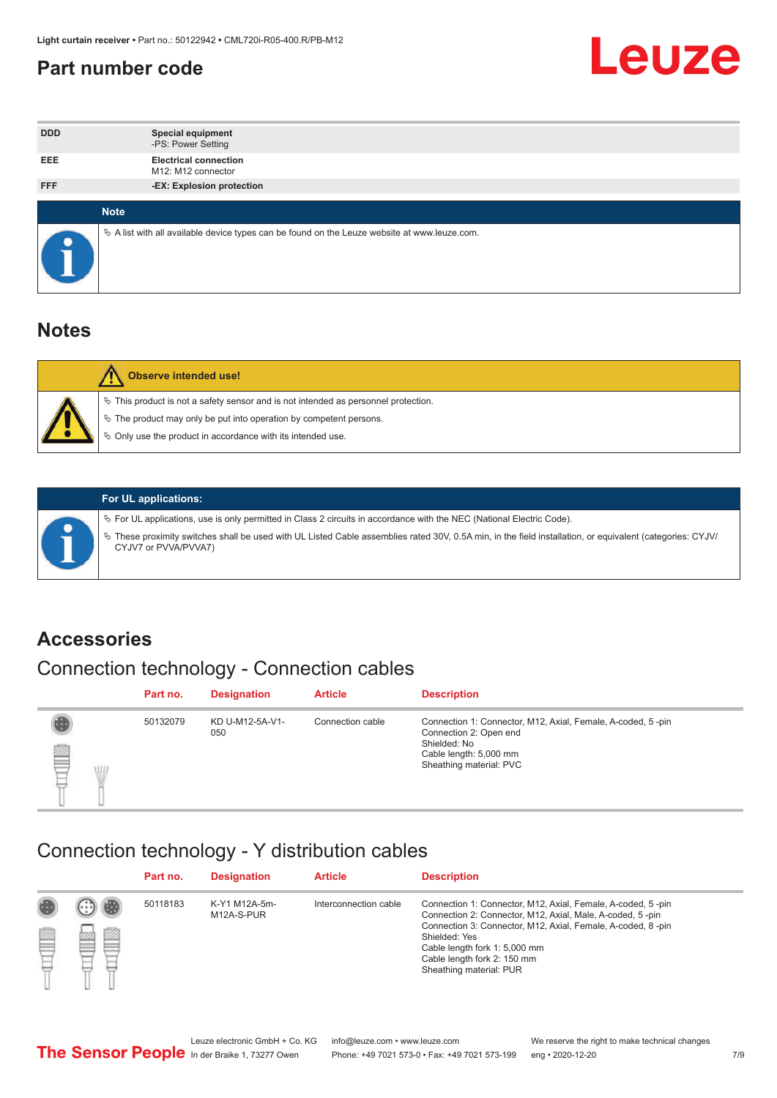#### <span id="page-6-0"></span>**Part number code**



| <b>DDD</b>  | <b>Special equipment</b><br>-PS: Power Setting                                                  |
|-------------|-------------------------------------------------------------------------------------------------|
| <b>EEE</b>  | <b>Electrical connection</b><br>M12: M12 connector                                              |
| <b>FFF</b>  | -EX: Explosion protection                                                                       |
|             |                                                                                                 |
| <b>Note</b> |                                                                                                 |
|             | $\&$ A list with all available device types can be found on the Leuze website at www.leuze.com. |

#### **Notes**

| Observe intended use!                                                                                                                                                                                                            |
|----------------------------------------------------------------------------------------------------------------------------------------------------------------------------------------------------------------------------------|
| $\%$ This product is not a safety sensor and is not intended as personnel protection.<br>$\%$ The product may only be put into operation by competent persons.<br>$\%$ Only use the product in accordance with its intended use. |
|                                                                                                                                                                                                                                  |



#### **For UL applications:**

ª For UL applications, use is only permitted in Class 2 circuits in accordance with the NEC (National Electric Code). ª These proximity switches shall be used with UL Listed Cable assemblies rated 30V, 0.5A min, in the field installation, or equivalent (categories: CYJV/ CYJV7 or PVVA/PVVA7)

#### **Accessories**

## Connection technology - Connection cables

|        | Part no. | <b>Designation</b>     | <b>Article</b>   | <b>Description</b>                                                                                                                                         |
|--------|----------|------------------------|------------------|------------------------------------------------------------------------------------------------------------------------------------------------------------|
| 2<br>W | 50132079 | KD U-M12-5A-V1-<br>050 | Connection cable | Connection 1: Connector, M12, Axial, Female, A-coded, 5-pin<br>Connection 2: Open end<br>Shielded: No<br>Cable length: 5,000 mm<br>Sheathing material: PVC |

#### Connection technology - Y distribution cables

|             |   | Part no. | <b>Designation</b>          | <b>Article</b>        | <b>Description</b>                                                                                                                                                                                                                                                                                  |
|-------------|---|----------|-----------------------------|-----------------------|-----------------------------------------------------------------------------------------------------------------------------------------------------------------------------------------------------------------------------------------------------------------------------------------------------|
| 圔<br>⋿<br>٣ | ø | 50118183 | K-Y1 M12A-5m-<br>M12A-S-PUR | Interconnection cable | Connection 1: Connector, M12, Axial, Female, A-coded, 5-pin<br>Connection 2: Connector, M12, Axial, Male, A-coded, 5-pin<br>Connection 3: Connector, M12, Axial, Female, A-coded, 8-pin<br>Shielded: Yes<br>Cable length fork 1: 5,000 mm<br>Cable length fork 2: 150 mm<br>Sheathing material: PUR |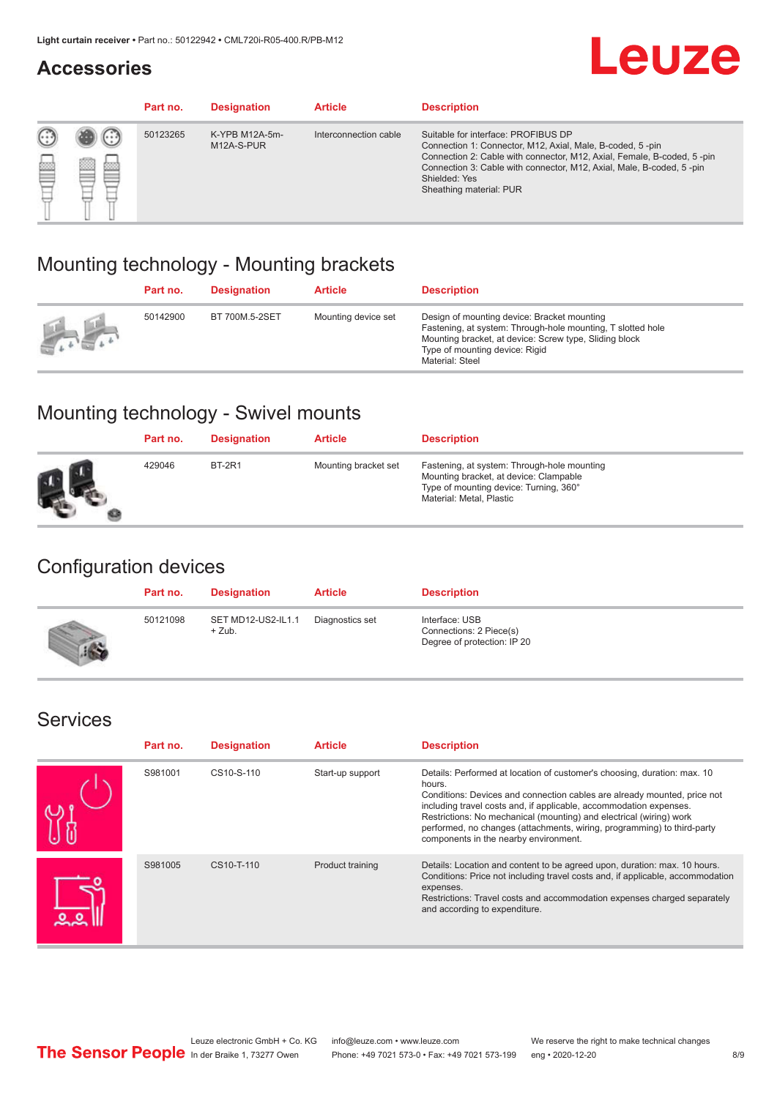#### **Accessories**

## **Leuze**

|   |         | Part no. | <b>Designation</b>           | <b>Article</b>        | <b>Description</b>                                                                                                                                                                                                                                                                             |
|---|---------|----------|------------------------------|-----------------------|------------------------------------------------------------------------------------------------------------------------------------------------------------------------------------------------------------------------------------------------------------------------------------------------|
| œ | 83<br>m | 50123265 | K-YPB M12A-5m-<br>M12A-S-PUR | Interconnection cable | Suitable for interface: PROFIBUS DP<br>Connection 1: Connector, M12, Axial, Male, B-coded, 5-pin<br>Connection 2: Cable with connector, M12, Axial, Female, B-coded, 5-pin<br>Connection 3: Cable with connector, M12, Axial, Male, B-coded, 5-pin<br>Shielded: Yes<br>Sheathing material: PUR |

#### Mounting technology - Mounting brackets

|               | Part no. | <b>Designation</b> | <b>Article</b>      | <b>Description</b>                                                                                                                                                                                                        |
|---------------|----------|--------------------|---------------------|---------------------------------------------------------------------------------------------------------------------------------------------------------------------------------------------------------------------------|
| $\frac{1}{2}$ | 50142900 | BT 700M.5-2SET     | Mounting device set | Design of mounting device: Bracket mounting<br>Fastening, at system: Through-hole mounting, T slotted hole<br>Mounting bracket, at device: Screw type, Sliding block<br>Type of mounting device: Rigid<br>Material: Steel |

### Mounting technology - Swivel mounts

| Part no. | <b>Designation</b> | <b>Article</b>       | <b>Description</b>                                                                                                                                          |
|----------|--------------------|----------------------|-------------------------------------------------------------------------------------------------------------------------------------------------------------|
| 429046   | <b>BT-2R1</b>      | Mounting bracket set | Fastening, at system: Through-hole mounting<br>Mounting bracket, at device: Clampable<br>Type of mounting device: Turning, 360°<br>Material: Metal, Plastic |

#### Configuration devices

| Part no. | <b>Designation</b>             | <b>Article</b>  | <b>Description</b>                                                       |
|----------|--------------------------------|-----------------|--------------------------------------------------------------------------|
| 50121098 | SET MD12-US2-IL1.1<br>$+$ Zub. | Diagnostics set | Interface: USB<br>Connections: 2 Piece(s)<br>Degree of protection: IP 20 |

#### Services

| Part no. | <b>Designation</b> | <b>Article</b>   | <b>Description</b>                                                                                                                                                                                                                                                                                                                                                                                                              |
|----------|--------------------|------------------|---------------------------------------------------------------------------------------------------------------------------------------------------------------------------------------------------------------------------------------------------------------------------------------------------------------------------------------------------------------------------------------------------------------------------------|
| S981001  | CS10-S-110         | Start-up support | Details: Performed at location of customer's choosing, duration: max. 10<br>hours.<br>Conditions: Devices and connection cables are already mounted, price not<br>including travel costs and, if applicable, accommodation expenses.<br>Restrictions: No mechanical (mounting) and electrical (wiring) work<br>performed, no changes (attachments, wiring, programming) to third-party<br>components in the nearby environment. |
| S981005  | CS10-T-110         | Product training | Details: Location and content to be agreed upon, duration: max. 10 hours.<br>Conditions: Price not including travel costs and, if applicable, accommodation<br>expenses.<br>Restrictions: Travel costs and accommodation expenses charged separately<br>and according to expenditure.                                                                                                                                           |